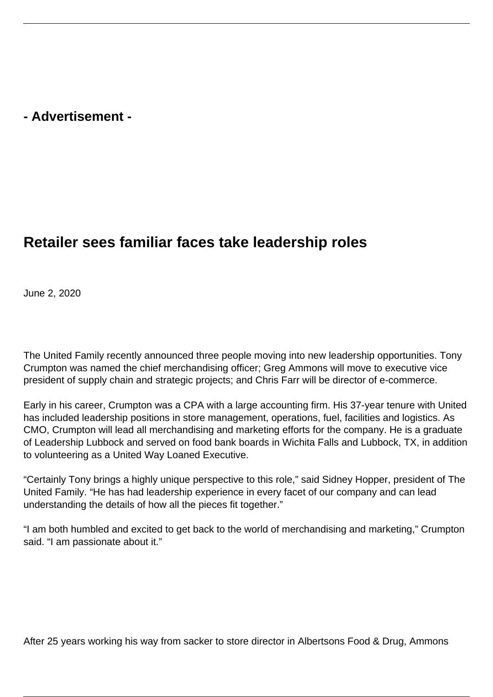## **- Advertisement -**

## **Retailer sees familiar faces take leadership roles**

June 2, 2020

The United Family recently announced three people moving into new leadership opportunities. Tony Crumpton was named the chief merchandising officer; Greg Ammons will move to executive vice president of supply chain and strategic projects; and Chris Farr will be director of e-commerce.

Early in his career, Crumpton was a CPA with a large accounting firm. His 37-year tenure with United has included leadership positions in store management, operations, fuel, facilities and logistics. As CMO, Crumpton will lead all merchandising and marketing efforts for the company. He is a graduate of Leadership Lubbock and served on food bank boards in Wichita Falls and Lubbock, TX, in addition to volunteering as a United Way Loaned Executive.

"Certainly Tony brings a highly unique perspective to this role," said Sidney Hopper, president of The United Family. "He has had leadership experience in every facet of our company and can lead understanding the details of how all the pieces fit together."

"I am both humbled and excited to get back to the world of merchandising and marketing," Crumpton said. "I am passionate about it."

After 25 years working his way from sacker to store director in Albertsons Food & Drug, Ammons